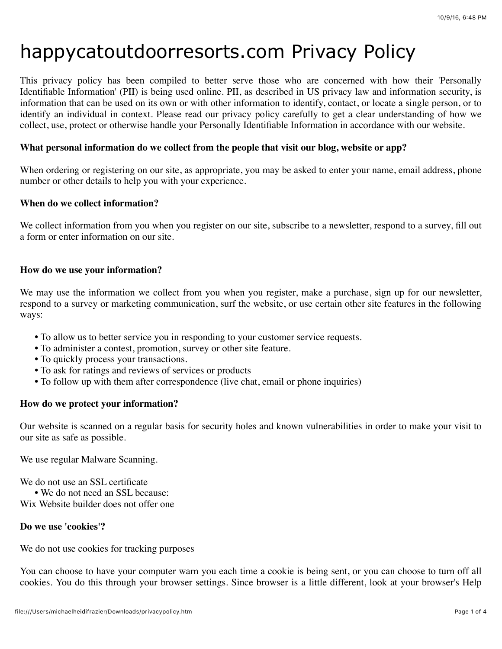# happycatoutdoorresorts.com Privacy Policy

This privacy policy has been compiled to better serve those who are concerned with how their 'Personally Identifiable Information' (PII) is being used online. PII, as described in US privacy law and information security, is information that can be used on its own or with other information to identify, contact, or locate a single person, or to identify an individual in context. Please read our privacy policy carefully to get a clear understanding of how we collect, use, protect or otherwise handle your Personally Identifiable Information in accordance with our website.

## **What personal information do we collect from the people that visit our blog, website or app?**

When ordering or registering on our site, as appropriate, you may be asked to enter your name, email address, phone number or other details to help you with your experience.

## **When do we collect information?**

We collect information from you when you register on our site, subscribe to a newsletter, respond to a survey, fill out a form or enter information on our site.

## **How do we use your information?**

We may use the information we collect from you when you register, make a purchase, sign up for our newsletter, respond to a survey or marketing communication, surf the website, or use certain other site features in the following ways:

- **•** To allow us to better service you in responding to your customer service requests.
- **•** To administer a contest, promotion, survey or other site feature.
- **•** To quickly process your transactions.
- **•** To ask for ratings and reviews of services or products
- To follow up with them after correspondence (live chat, email or phone inquiries)

## **How do we protect your information?**

Our website is scanned on a regular basis for security holes and known vulnerabilities in order to make your visit to our site as safe as possible.

We use regular Malware Scanning.

We do not use an SSL certificate

**•** We do not need an SSL because:

Wix Website builder does not offer one

## **Do we use 'cookies'?**

We do not use cookies for tracking purposes

You can choose to have your computer warn you each time a cookie is being sent, or you can choose to turn off all cookies. You do this through your browser settings. Since browser is a little different, look at your browser's Help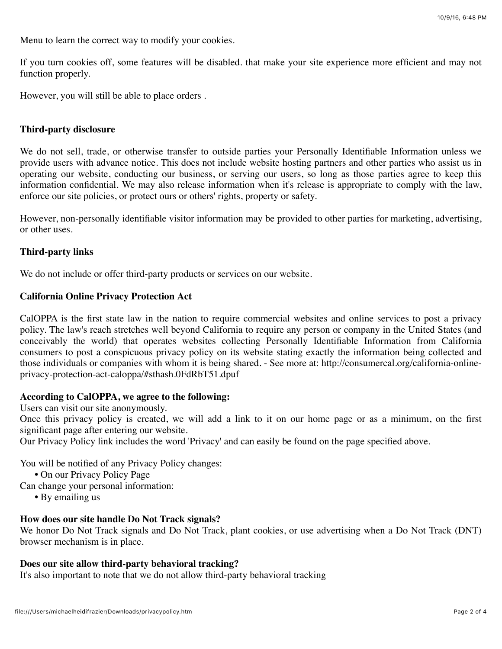Menu to learn the correct way to modify your cookies.

If you turn cookies off, some features will be disabled. that make your site experience more efficient and may not function properly.

However, you will still be able to place orders .

## **Third-party disclosure**

We do not sell, trade, or otherwise transfer to outside parties your Personally Identifiable Information unless we provide users with advance notice. This does not include website hosting partners and other parties who assist us in operating our website, conducting our business, or serving our users, so long as those parties agree to keep this information confidential. We may also release information when it's release is appropriate to comply with the law, enforce our site policies, or protect ours or others' rights, property or safety.

However, non-personally identifiable visitor information may be provided to other parties for marketing, advertising, or other uses.

#### **Third-party links**

We do not include or offer third-party products or services on our website.

#### **California Online Privacy Protection Act**

CalOPPA is the first state law in the nation to require commercial websites and online services to post a privacy policy. The law's reach stretches well beyond California to require any person or company in the United States (and conceivably the world) that operates websites collecting Personally Identifiable Information from California consumers to post a conspicuous privacy policy on its website stating exactly the information being collected and those individuals or companies with whom it is being shared. - See more at: http://consumercal.org/california-onlineprivacy-protection-act-caloppa/#sthash.0FdRbT51.dpuf

#### **According to CalOPPA, we agree to the following:**

Users can visit our site anonymously.

Once this privacy policy is created, we will add a link to it on our home page or as a minimum, on the first significant page after entering our website.

Our Privacy Policy link includes the word 'Privacy' and can easily be found on the page specified above.

You will be notified of any Privacy Policy changes:

**•** On our Privacy Policy Page

Can change your personal information:

**•** By emailing us

#### **How does our site handle Do Not Track signals?**

We honor Do Not Track signals and Do Not Track, plant cookies, or use advertising when a Do Not Track (DNT) browser mechanism is in place.

## **Does our site allow third-party behavioral tracking?**

It's also important to note that we do not allow third-party behavioral tracking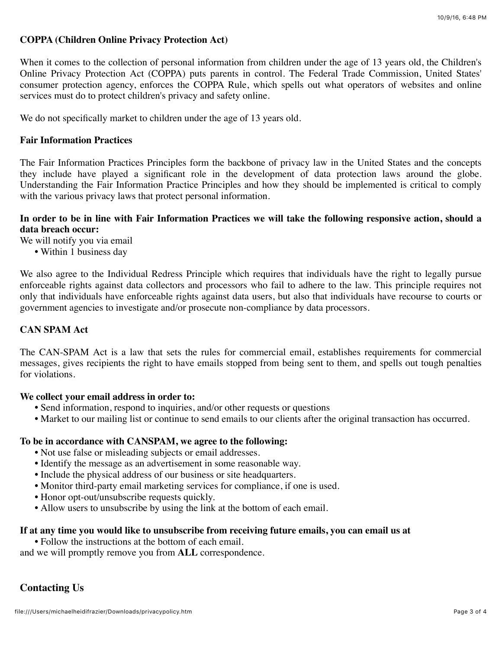## **COPPA (Children Online Privacy Protection Act)**

When it comes to the collection of personal information from children under the age of 13 years old, the Children's Online Privacy Protection Act (COPPA) puts parents in control. The Federal Trade Commission, United States' consumer protection agency, enforces the COPPA Rule, which spells out what operators of websites and online services must do to protect children's privacy and safety online.

We do not specifically market to children under the age of 13 years old.

## **Fair Information Practices**

The Fair Information Practices Principles form the backbone of privacy law in the United States and the concepts they include have played a significant role in the development of data protection laws around the globe. Understanding the Fair Information Practice Principles and how they should be implemented is critical to comply with the various privacy laws that protect personal information.

## **In order to be in line with Fair Information Practices we will take the following responsive action, should a data breach occur:**

We will notify you via email

**•** Within 1 business day

We also agree to the Individual Redress Principle which requires that individuals have the right to legally pursue enforceable rights against data collectors and processors who fail to adhere to the law. This principle requires not only that individuals have enforceable rights against data users, but also that individuals have recourse to courts or government agencies to investigate and/or prosecute non-compliance by data processors.

## **CAN SPAM Act**

The CAN-SPAM Act is a law that sets the rules for commercial email, establishes requirements for commercial messages, gives recipients the right to have emails stopped from being sent to them, and spells out tough penalties for violations.

#### **We collect your email address in order to:**

- **•** Send information, respond to inquiries, and/or other requests or questions
- **•** Market to our mailing list or continue to send emails to our clients after the original transaction has occurred.

#### **To be in accordance with CANSPAM, we agree to the following:**

- **•** Not use false or misleading subjects or email addresses.
- **•** Identify the message as an advertisement in some reasonable way.
- **•** Include the physical address of our business or site headquarters.
- **•** Monitor third-party email marketing services for compliance, if one is used.
- **•** Honor opt-out/unsubscribe requests quickly.
- **•** Allow users to unsubscribe by using the link at the bottom of each email.

#### **If at any time you would like to unsubscribe from receiving future emails, you can email us at**

**•** Follow the instructions at the bottom of each email.

and we will promptly remove you from **ALL** correspondence.

## **Contacting Us**